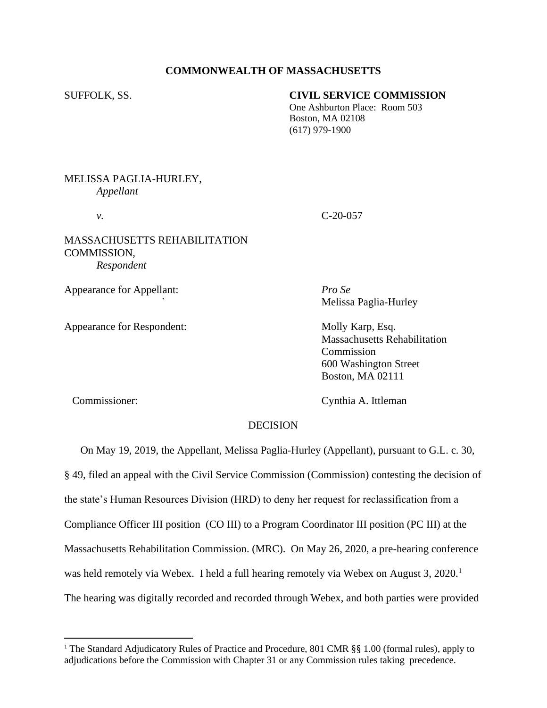## **COMMONWEALTH OF MASSACHUSETTS**

### SUFFOLK, SS. **CIVIL SERVICE COMMISSION**

 One Ashburton Place: Room 503 Boston, MA 02108 (617) 979-1900

# MELISSA PAGLIA-HURLEY, *Appellant*

## MASSACHUSETTS REHABILITATION COMMISSION, *Respondent*

Appearance for Appellant: *Pro Se*

Appearance for Respondent: Molly Karp, Esq.

*v.* C-20-057

*`* Melissa Paglia-Hurley

Massachusetts Rehabilitation Commission 600 Washington Street Boston, MA 02111

Commissioner: Cynthia A. Ittleman

### DECISION

 On May 19, 2019, the Appellant, Melissa Paglia-Hurley (Appellant), pursuant to G.L. c. 30, § 49, filed an appeal with the Civil Service Commission (Commission) contesting the decision of the state's Human Resources Division (HRD) to deny her request for reclassification from a Compliance Officer III position (CO III) to a Program Coordinator III position (PC III) at the Massachusetts Rehabilitation Commission. (MRC). On May 26, 2020, a pre-hearing conference was held remotely via Webex. I held a full hearing remotely via Webex on August 3, 2020.<sup>1</sup> The hearing was digitally recorded and recorded through Webex, and both parties were provided

<sup>&</sup>lt;sup>1</sup> The Standard Adjudicatory Rules of Practice and Procedure, 801 CMR §§ 1.00 (formal rules), apply to adjudications before the Commission with Chapter 31 or any Commission rules taking precedence.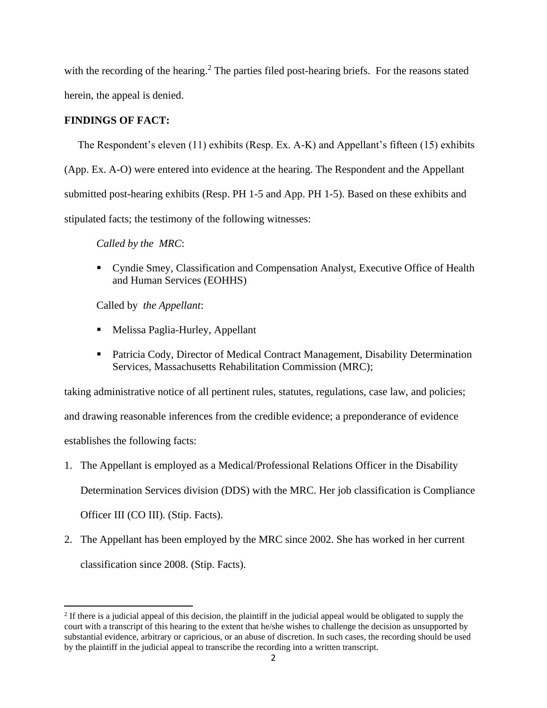with the recording of the hearing.<sup>2</sup> The parties filed post-hearing briefs. For the reasons stated herein, the appeal is denied.

# **FINDINGS OF FACT:**

The Respondent's eleven (11) exhibits (Resp. Ex. A-K) and Appellant's fifteen (15) exhibits (App. Ex. A-O) were entered into evidence at the hearing. The Respondent and the Appellant submitted post-hearing exhibits (Resp. PH 1-5 and App. PH 1-5). Based on these exhibits and stipulated facts; the testimony of the following witnesses:

*Called by the MRC*:

■ Cyndie Smey, Classification and Compensation Analyst, Executive Office of Health and Human Services (EOHHS)

Called by *the Appellant*:

- Melissa Paglia-Hurley, Appellant
- **Patricia Cody, Director of Medical Contract Management, Disability Determination** Services, Massachusetts Rehabilitation Commission (MRC);

taking administrative notice of all pertinent rules, statutes, regulations, case law, and policies; and drawing reasonable inferences from the credible evidence; a preponderance of evidence establishes the following facts:

- 1. The Appellant is employed as a Medical/Professional Relations Officer in the Disability Determination Services division (DDS) with the MRC. Her job classification is Compliance Officer III (CO III). (Stip. Facts).
- 2. The Appellant has been employed by the MRC since 2002. She has worked in her current classification since 2008. (Stip. Facts).

 $2$  If there is a judicial appeal of this decision, the plaintiff in the judicial appeal would be obligated to supply the court with a transcript of this hearing to the extent that he/she wishes to challenge the decision as unsupported by substantial evidence, arbitrary or capricious, or an abuse of discretion. In such cases, the recording should be used by the plaintiff in the judicial appeal to transcribe the recording into a written transcript.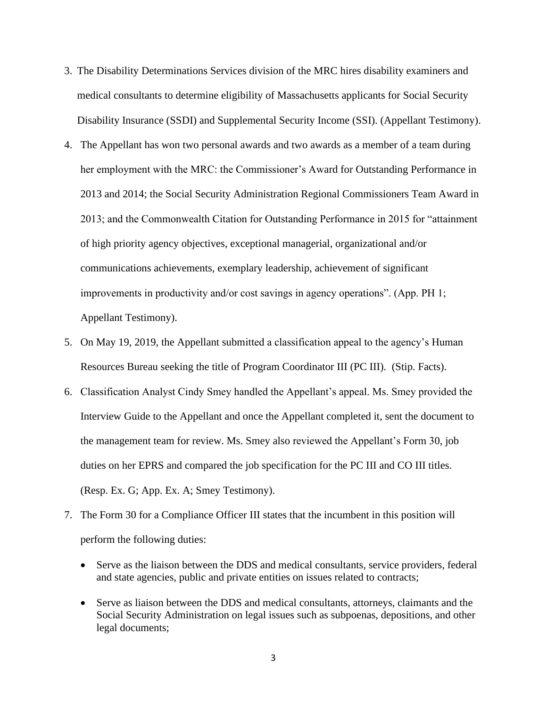- 3. The Disability Determinations Services division of the MRC hires disability examiners and medical consultants to determine eligibility of Massachusetts applicants for Social Security Disability Insurance (SSDI) and Supplemental Security Income (SSI). (Appellant Testimony).
- 4. The Appellant has won two personal awards and two awards as a member of a team during her employment with the MRC: the Commissioner's Award for Outstanding Performance in 2013 and 2014; the Social Security Administration Regional Commissioners Team Award in 2013; and the Commonwealth Citation for Outstanding Performance in 2015 for "attainment of high priority agency objectives, exceptional managerial, organizational and/or communications achievements, exemplary leadership, achievement of significant improvements in productivity and/or cost savings in agency operations". (App. PH 1; Appellant Testimony).
- 5. On May 19, 2019, the Appellant submitted a classification appeal to the agency's Human Resources Bureau seeking the title of Program Coordinator III (PC III). (Stip. Facts).
- 6. Classification Analyst Cindy Smey handled the Appellant's appeal. Ms. Smey provided the Interview Guide to the Appellant and once the Appellant completed it, sent the document to the management team for review. Ms. Smey also reviewed the Appellant's Form 30, job duties on her EPRS and compared the job specification for the PC III and CO III titles. (Resp. Ex. G; App. Ex. A; Smey Testimony).
- 7. The Form 30 for a Compliance Officer III states that the incumbent in this position will perform the following duties:
	- Serve as the liaison between the DDS and medical consultants, service providers, federal and state agencies, public and private entities on issues related to contracts;
	- Serve as liaison between the DDS and medical consultants, attorneys, claimants and the Social Security Administration on legal issues such as subpoenas, depositions, and other legal documents;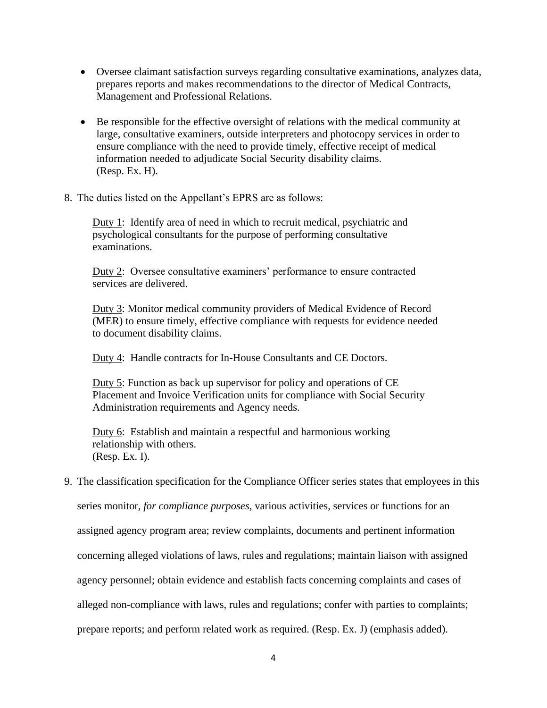- Oversee claimant satisfaction surveys regarding consultative examinations, analyzes data, prepares reports and makes recommendations to the director of Medical Contracts, Management and Professional Relations.
- Be responsible for the effective oversight of relations with the medical community at large, consultative examiners, outside interpreters and photocopy services in order to ensure compliance with the need to provide timely, effective receipt of medical information needed to adjudicate Social Security disability claims. (Resp. Ex. H).
- 8. The duties listed on the Appellant's EPRS are as follows:

Duty 1: Identify area of need in which to recruit medical, psychiatric and psychological consultants for the purpose of performing consultative examinations.

Duty 2: Oversee consultative examiners' performance to ensure contracted services are delivered.

Duty 3: Monitor medical community providers of Medical Evidence of Record (MER) to ensure timely, effective compliance with requests for evidence needed to document disability claims.

Duty 4: Handle contracts for In-House Consultants and CE Doctors.

Duty 5: Function as back up supervisor for policy and operations of CE Placement and Invoice Verification units for compliance with Social Security Administration requirements and Agency needs.

Duty 6: Establish and maintain a respectful and harmonious working relationship with others. (Resp. Ex. I).

9. The classification specification for the Compliance Officer series states that employees in this

series monitor*, for compliance purposes*, various activities, services or functions for an

assigned agency program area; review complaints, documents and pertinent information

concerning alleged violations of laws, rules and regulations; maintain liaison with assigned

agency personnel; obtain evidence and establish facts concerning complaints and cases of

alleged non-compliance with laws, rules and regulations; confer with parties to complaints;

prepare reports; and perform related work as required. (Resp. Ex. J) (emphasis added).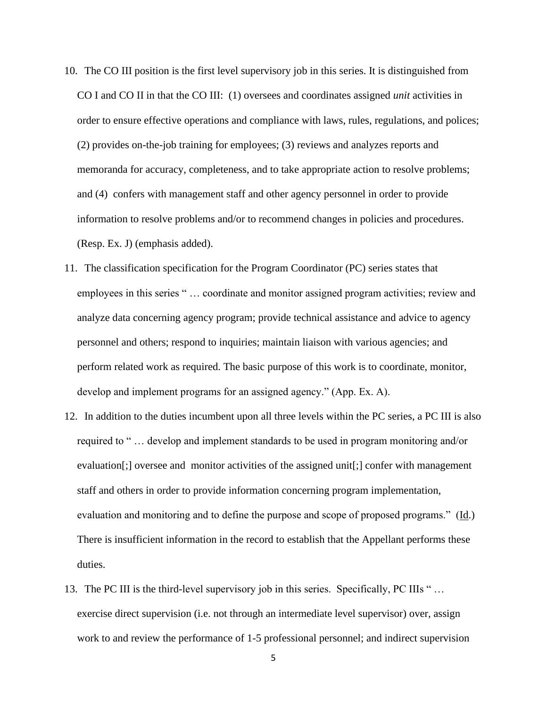- 10. The CO III position is the first level supervisory job in this series. It is distinguished from CO I and CO II in that the CO III: (1) oversees and coordinates assigned *unit* activities in order to ensure effective operations and compliance with laws, rules, regulations, and polices; (2) provides on-the-job training for employees; (3) reviews and analyzes reports and memoranda for accuracy, completeness, and to take appropriate action to resolve problems; and (4) confers with management staff and other agency personnel in order to provide information to resolve problems and/or to recommend changes in policies and procedures. (Resp. Ex. J) (emphasis added).
- 11. The classification specification for the Program Coordinator (PC) series states that employees in this series " … coordinate and monitor assigned program activities; review and analyze data concerning agency program; provide technical assistance and advice to agency personnel and others; respond to inquiries; maintain liaison with various agencies; and perform related work as required. The basic purpose of this work is to coordinate, monitor, develop and implement programs for an assigned agency." (App. Ex. A).
- 12. In addition to the duties incumbent upon all three levels within the PC series, a PC III is also required to " … develop and implement standards to be used in program monitoring and/or evaluation[;] oversee and monitor activities of the assigned unit[;] confer with management staff and others in order to provide information concerning program implementation, evaluation and monitoring and to define the purpose and scope of proposed programs." (Id.) There is insufficient information in the record to establish that the Appellant performs these duties.
- 13. The PC III is the third-level supervisory job in this series. Specifically, PC IIIs "... exercise direct supervision (i.e. not through an intermediate level supervisor) over, assign work to and review the performance of 1-5 professional personnel; and indirect supervision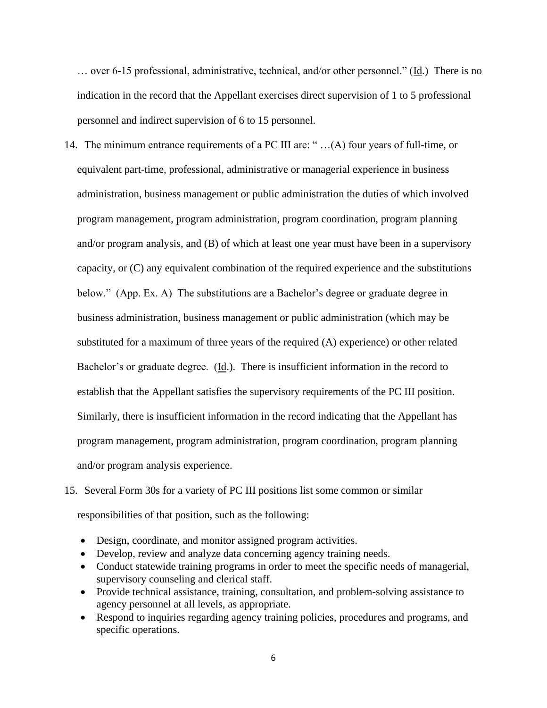… over 6-15 professional, administrative, technical, and/or other personnel." (Id.) There is no indication in the record that the Appellant exercises direct supervision of 1 to 5 professional personnel and indirect supervision of 6 to 15 personnel.

- 14. The minimum entrance requirements of a PC III are: " …(A) four years of full-time, or equivalent part-time, professional, administrative or managerial experience in business administration, business management or public administration the duties of which involved program management, program administration, program coordination, program planning and/or program analysis, and (B) of which at least one year must have been in a supervisory capacity, or (C) any equivalent combination of the required experience and the substitutions below." (App. Ex. A) The substitutions are a Bachelor's degree or graduate degree in business administration, business management or public administration (which may be substituted for a maximum of three years of the required (A) experience) or other related Bachelor's or graduate degree. (Id.). There is insufficient information in the record to establish that the Appellant satisfies the supervisory requirements of the PC III position. Similarly, there is insufficient information in the record indicating that the Appellant has program management, program administration, program coordination, program planning and/or program analysis experience.
- 15. Several Form 30s for a variety of PC III positions list some common or similar responsibilities of that position, such as the following:
	- Design, coordinate, and monitor assigned program activities.
	- Develop, review and analyze data concerning agency training needs.
	- Conduct statewide training programs in order to meet the specific needs of managerial, supervisory counseling and clerical staff.
	- Provide technical assistance, training, consultation, and problem-solving assistance to agency personnel at all levels, as appropriate.
	- Respond to inquiries regarding agency training policies, procedures and programs, and specific operations.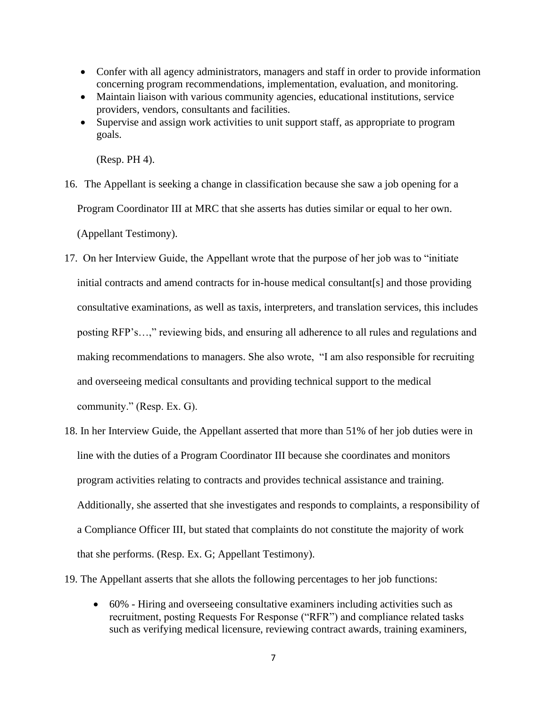- Confer with all agency administrators, managers and staff in order to provide information concerning program recommendations, implementation, evaluation, and monitoring.
- Maintain liaison with various community agencies, educational institutions, service providers, vendors, consultants and facilities.
- Supervise and assign work activities to unit support staff, as appropriate to program goals.

(Resp. PH 4).

- 16. The Appellant is seeking a change in classification because she saw a job opening for a Program Coordinator III at MRC that she asserts has duties similar or equal to her own. (Appellant Testimony).
- 17. On her Interview Guide, the Appellant wrote that the purpose of her job was to "initiate initial contracts and amend contracts for in-house medical consultant[s] and those providing consultative examinations, as well as taxis, interpreters, and translation services, this includes posting RFP's…," reviewing bids, and ensuring all adherence to all rules and regulations and making recommendations to managers. She also wrote, "I am also responsible for recruiting and overseeing medical consultants and providing technical support to the medical community." (Resp. Ex. G).
- 18. In her Interview Guide, the Appellant asserted that more than 51% of her job duties were in line with the duties of a Program Coordinator III because she coordinates and monitors program activities relating to contracts and provides technical assistance and training. Additionally, she asserted that she investigates and responds to complaints, a responsibility of a Compliance Officer III, but stated that complaints do not constitute the majority of work that she performs. (Resp. Ex. G; Appellant Testimony).

19. The Appellant asserts that she allots the following percentages to her job functions:

• 60% - Hiring and overseeing consultative examiners including activities such as recruitment, posting Requests For Response ("RFR") and compliance related tasks such as verifying medical licensure, reviewing contract awards, training examiners,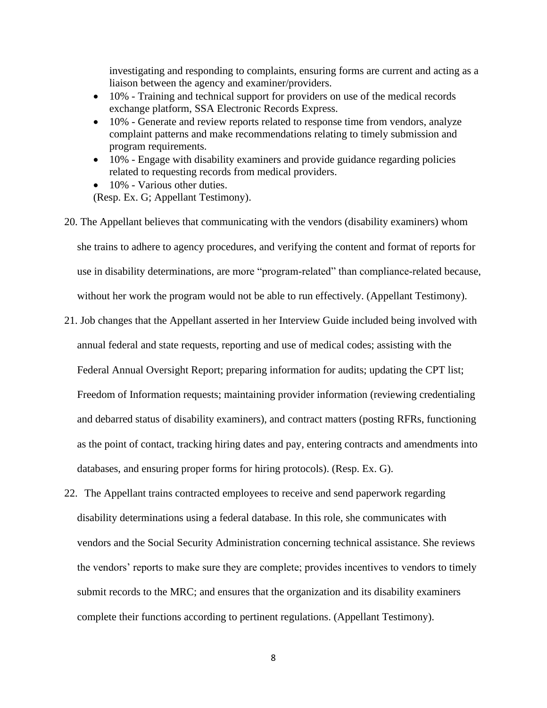investigating and responding to complaints, ensuring forms are current and acting as a liaison between the agency and examiner/providers.

- 10% Training and technical support for providers on use of the medical records exchange platform, SSA Electronic Records Express.
- 10% Generate and review reports related to response time from vendors, analyze complaint patterns and make recommendations relating to timely submission and program requirements.
- 10% Engage with disability examiners and provide guidance regarding policies related to requesting records from medical providers.
- 10% Various other duties. (Resp. Ex. G; Appellant Testimony).
- 20. The Appellant believes that communicating with the vendors (disability examiners) whom she trains to adhere to agency procedures, and verifying the content and format of reports for use in disability determinations, are more "program-related" than compliance-related because, without her work the program would not be able to run effectively. (Appellant Testimony).
- 21. Job changes that the Appellant asserted in her Interview Guide included being involved with annual federal and state requests, reporting and use of medical codes; assisting with the Federal Annual Oversight Report; preparing information for audits; updating the CPT list; Freedom of Information requests; maintaining provider information (reviewing credentialing and debarred status of disability examiners), and contract matters (posting RFRs, functioning as the point of contact, tracking hiring dates and pay, entering contracts and amendments into databases, and ensuring proper forms for hiring protocols). (Resp. Ex. G).
- 22. The Appellant trains contracted employees to receive and send paperwork regarding disability determinations using a federal database. In this role, she communicates with vendors and the Social Security Administration concerning technical assistance. She reviews the vendors' reports to make sure they are complete; provides incentives to vendors to timely submit records to the MRC; and ensures that the organization and its disability examiners complete their functions according to pertinent regulations. (Appellant Testimony).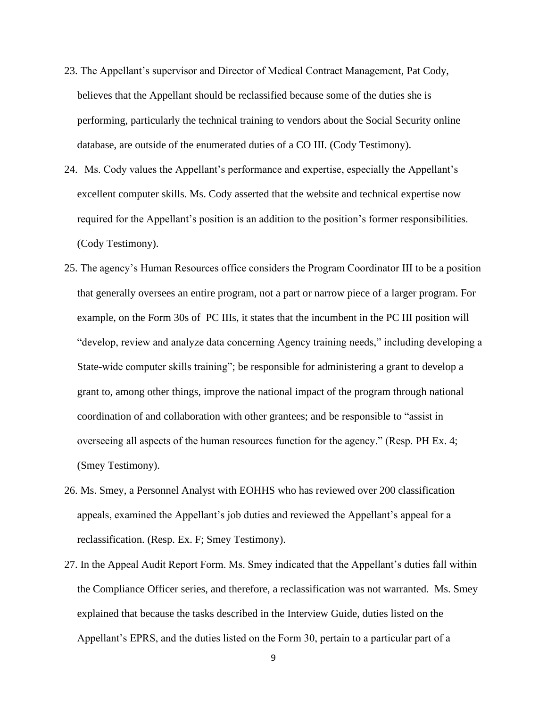- 23. The Appellant's supervisor and Director of Medical Contract Management, Pat Cody, believes that the Appellant should be reclassified because some of the duties she is performing, particularly the technical training to vendors about the Social Security online database, are outside of the enumerated duties of a CO III. (Cody Testimony).
- 24. Ms. Cody values the Appellant's performance and expertise, especially the Appellant's excellent computer skills. Ms. Cody asserted that the website and technical expertise now required for the Appellant's position is an addition to the position's former responsibilities. (Cody Testimony).
- 25. The agency's Human Resources office considers the Program Coordinator III to be a position that generally oversees an entire program, not a part or narrow piece of a larger program. For example, on the Form 30s of PC IIIs, it states that the incumbent in the PC III position will "develop, review and analyze data concerning Agency training needs," including developing a State-wide computer skills training"; be responsible for administering a grant to develop a grant to, among other things, improve the national impact of the program through national coordination of and collaboration with other grantees; and be responsible to "assist in overseeing all aspects of the human resources function for the agency." (Resp. PH Ex. 4; (Smey Testimony).
- 26. Ms. Smey, a Personnel Analyst with EOHHS who has reviewed over 200 classification appeals, examined the Appellant's job duties and reviewed the Appellant's appeal for a reclassification. (Resp. Ex. F; Smey Testimony).
- 27. In the Appeal Audit Report Form. Ms. Smey indicated that the Appellant's duties fall within the Compliance Officer series, and therefore, a reclassification was not warranted. Ms. Smey explained that because the tasks described in the Interview Guide, duties listed on the Appellant's EPRS, and the duties listed on the Form 30, pertain to a particular part of a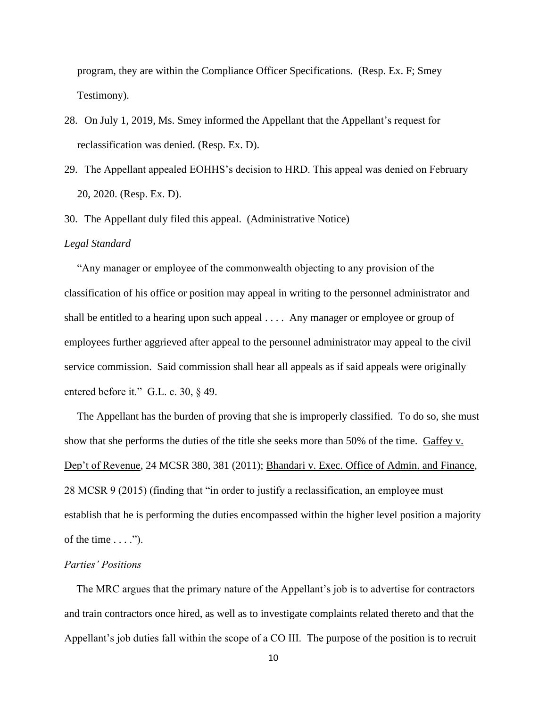program, they are within the Compliance Officer Specifications. (Resp. Ex. F; Smey Testimony).

- 28. On July 1, 2019, Ms. Smey informed the Appellant that the Appellant's request for reclassification was denied. (Resp. Ex. D).
- 29. The Appellant appealed EOHHS's decision to HRD. This appeal was denied on February 20, 2020. (Resp. Ex. D).
- 30. The Appellant duly filed this appeal. (Administrative Notice)

#### *Legal Standard*

"Any manager or employee of the commonwealth objecting to any provision of the classification of his office or position may appeal in writing to the personnel administrator and shall be entitled to a hearing upon such appeal . . . . Any manager or employee or group of employees further aggrieved after appeal to the personnel administrator may appeal to the civil service commission. Said commission shall hear all appeals as if said appeals were originally entered before it." G.L. c. 30, § 49.

The Appellant has the burden of proving that she is improperly classified. To do so, she must show that she performs the duties of the title she seeks more than 50% of the time. Gaffey v. Dep't of Revenue, 24 MCSR 380, 381 (2011); Bhandari v. Exec. Office of Admin. and Finance, 28 MCSR 9 (2015) (finding that "in order to justify a reclassification, an employee must establish that he is performing the duties encompassed within the higher level position a majority of the time  $\dots$ .").

### *Parties' Positions*

The MRC argues that the primary nature of the Appellant's job is to advertise for contractors and train contractors once hired, as well as to investigate complaints related thereto and that the Appellant's job duties fall within the scope of a CO III. The purpose of the position is to recruit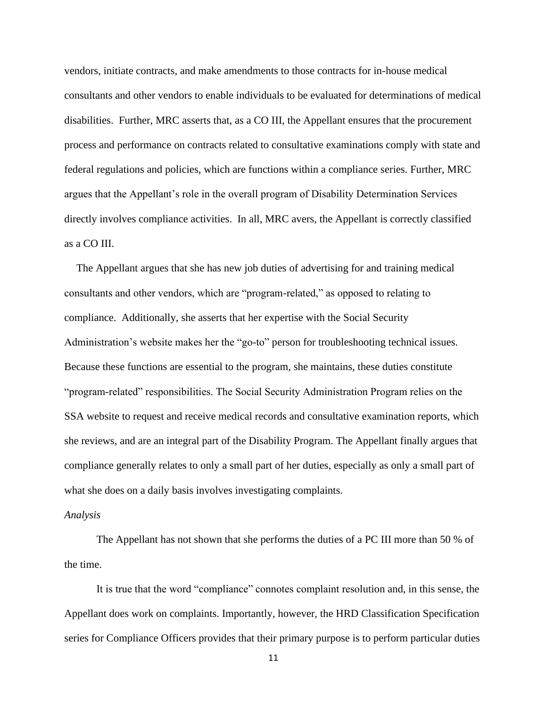vendors, initiate contracts, and make amendments to those contracts for in-house medical consultants and other vendors to enable individuals to be evaluated for determinations of medical disabilities. Further, MRC asserts that, as a CO III, the Appellant ensures that the procurement process and performance on contracts related to consultative examinations comply with state and federal regulations and policies, which are functions within a compliance series. Further, MRC argues that the Appellant's role in the overall program of Disability Determination Services directly involves compliance activities. In all, MRC avers, the Appellant is correctly classified as a CO III.

The Appellant argues that she has new job duties of advertising for and training medical consultants and other vendors, which are "program-related," as opposed to relating to compliance. Additionally, she asserts that her expertise with the Social Security Administration's website makes her the "go-to" person for troubleshooting technical issues. Because these functions are essential to the program, she maintains, these duties constitute "program-related" responsibilities. The Social Security Administration Program relies on the SSA website to request and receive medical records and consultative examination reports, which she reviews, and are an integral part of the Disability Program. The Appellant finally argues that compliance generally relates to only a small part of her duties, especially as only a small part of what she does on a daily basis involves investigating complaints.

#### *Analysis*

The Appellant has not shown that she performs the duties of a PC III more than 50 % of the time.

It is true that the word "compliance" connotes complaint resolution and, in this sense, the Appellant does work on complaints. Importantly, however, the HRD Classification Specification series for Compliance Officers provides that their primary purpose is to perform particular duties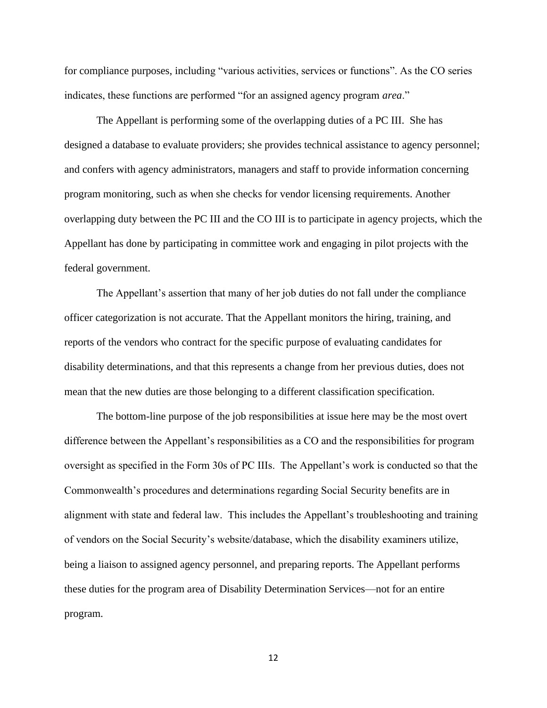for compliance purposes, including "various activities, services or functions". As the CO series indicates, these functions are performed "for an assigned agency program *area*."

The Appellant is performing some of the overlapping duties of a PC III. She has designed a database to evaluate providers; she provides technical assistance to agency personnel; and confers with agency administrators, managers and staff to provide information concerning program monitoring, such as when she checks for vendor licensing requirements. Another overlapping duty between the PC III and the CO III is to participate in agency projects, which the Appellant has done by participating in committee work and engaging in pilot projects with the federal government.

The Appellant's assertion that many of her job duties do not fall under the compliance officer categorization is not accurate. That the Appellant monitors the hiring, training, and reports of the vendors who contract for the specific purpose of evaluating candidates for disability determinations, and that this represents a change from her previous duties, does not mean that the new duties are those belonging to a different classification specification.

The bottom-line purpose of the job responsibilities at issue here may be the most overt difference between the Appellant's responsibilities as a CO and the responsibilities for program oversight as specified in the Form 30s of PC IIIs. The Appellant's work is conducted so that the Commonwealth's procedures and determinations regarding Social Security benefits are in alignment with state and federal law. This includes the Appellant's troubleshooting and training of vendors on the Social Security's website/database, which the disability examiners utilize, being a liaison to assigned agency personnel, and preparing reports. The Appellant performs these duties for the program area of Disability Determination Services—not for an entire program.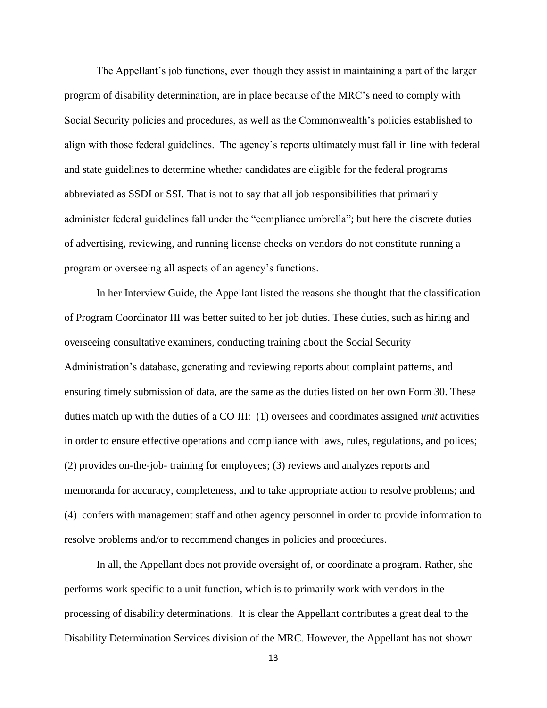The Appellant's job functions, even though they assist in maintaining a part of the larger program of disability determination, are in place because of the MRC's need to comply with Social Security policies and procedures, as well as the Commonwealth's policies established to align with those federal guidelines. The agency's reports ultimately must fall in line with federal and state guidelines to determine whether candidates are eligible for the federal programs abbreviated as SSDI or SSI. That is not to say that all job responsibilities that primarily administer federal guidelines fall under the "compliance umbrella"; but here the discrete duties of advertising, reviewing, and running license checks on vendors do not constitute running a program or overseeing all aspects of an agency's functions.

In her Interview Guide, the Appellant listed the reasons she thought that the classification of Program Coordinator III was better suited to her job duties. These duties, such as hiring and overseeing consultative examiners, conducting training about the Social Security Administration's database, generating and reviewing reports about complaint patterns, and ensuring timely submission of data, are the same as the duties listed on her own Form 30. These duties match up with the duties of a CO III: (1) oversees and coordinates assigned *unit* activities in order to ensure effective operations and compliance with laws, rules, regulations, and polices; (2) provides on-the-job- training for employees; (3) reviews and analyzes reports and memoranda for accuracy, completeness, and to take appropriate action to resolve problems; and (4) confers with management staff and other agency personnel in order to provide information to resolve problems and/or to recommend changes in policies and procedures.

In all, the Appellant does not provide oversight of, or coordinate a program. Rather, she performs work specific to a unit function, which is to primarily work with vendors in the processing of disability determinations. It is clear the Appellant contributes a great deal to the Disability Determination Services division of the MRC. However, the Appellant has not shown